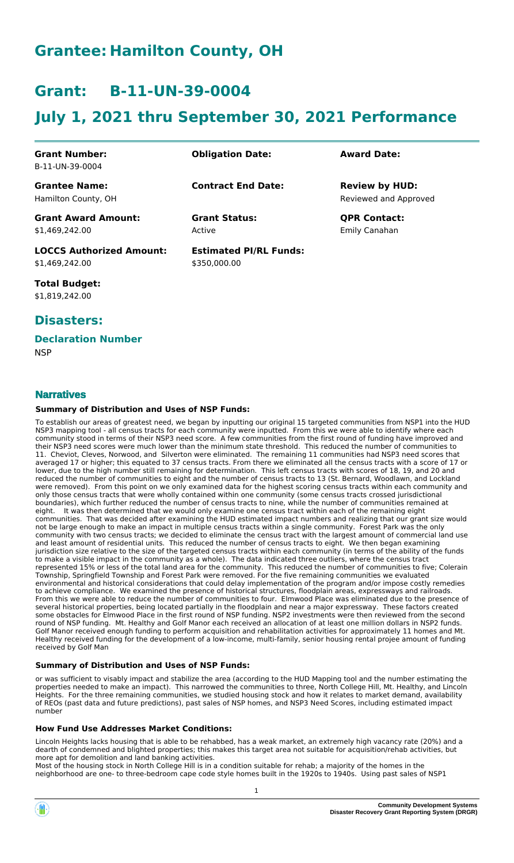# **Grantee: Hamilton County, OH**

# **Grant: B-11-UN-39-0004**

# **July 1, 2021 thru September 30, 2021 Performance**

| <b>Grant Number:</b><br>B-11-UN-39-0004           | <b>Obligation Date:</b>                       | <b>Award Date:</b>                             |
|---------------------------------------------------|-----------------------------------------------|------------------------------------------------|
| <b>Grantee Name:</b><br>Hamilton County, OH       | <b>Contract End Date:</b>                     | <b>Review by HUD:</b><br>Reviewed and Approved |
| <b>Grant Award Amount:</b><br>\$1.469.242.00      | <b>Grant Status:</b><br>Active                | <b>QPR Contact:</b><br>Emily Canahan           |
| <b>LOCCS Authorized Amount:</b><br>\$1,469,242.00 | <b>Estimated PI/RL Funds:</b><br>\$350,000.00 |                                                |

**Total Budget:** \$1,819,242.00

### **Disasters:**

#### **Declaration Number**

**NSP** 

### **Narratives**

#### **Summary of Distribution and Uses of NSP Funds:**

To establish our areas of greatest need, we began by inputting our original 15 targeted communities from NSP1 into the HUD NSP3 mapping tool - all census tracts for each community were inputted. From this we were able to identify where each community stood in terms of their NSP3 need score. A few communities from the first round of funding have improved and their NSP3 need scores were much lower than the minimum state threshold. This reduced the number of communities to 11. Cheviot, Cleves, Norwood, and Silverton were eliminated. The remaining 11 communities had NSP3 need scores that averaged 17 or higher; this equated to 37 census tracts. From there we eliminated all the census tracts with a score of 17 or lower, due to the high number still remaining for determination. This left census tracts with scores of 18, 19, and 20 and reduced the number of communities to eight and the number of census tracts to 13 (St. Bernard, Woodlawn, and Lockland were removed). From this point on we only examined data for the highest scoring census tracts within each community and only those census tracts that were wholly contained within one community (some census tracts crossed jurisdictional boundaries), which further reduced the number of census tracts to nine, while the number of communities remained at eight. It was then determined that we would only examine one census tract within each of the remaining eight communities. That was decided after examining the HUD estimated impact numbers and realizing that our grant size would not be large enough to make an impact in multiple census tracts within a single community. Forest Park was the only community with two census tracts; we decided to eliminate the census tract with the largest amount of commercial land use and least amount of residential units. This reduced the number of census tracts to eight. We then began examining jurisdiction size relative to the size of the targeted census tracts within each community (in terms of the ability of the funds to make a visible impact in the community as a whole). The data indicated three outliers, where the census tract represented 15% or less of the total land area for the community. This reduced the number of communities to five; Colerain Township, Springfield Township and Forest Park were removed. For the five remaining communities we evaluated environmental and historical considerations that could delay implementation of the program and/or impose costly remedies to achieve compliance. We examined the presence of historical structures, floodplain areas, expressways and railroads. From this we were able to reduce the number of communities to four. Elmwood Place was eliminated due to the presence of several historical properties, being located partially in the floodplain and near a major expressway. These factors created some obstacles for Elmwood Place in the first round of NSP funding. NSP2 investments were then reviewed from the second round of NSP funding. Mt. Healthy and Golf Manor each received an allocation of at least one million dollars in NSP2 funds. Golf Manor received enough funding to perform acquisition and rehabilitation activities for approximately 11 homes and Mt. Healthy received funding for the development of a low-income, multi-family, senior housing rental projee amount of funding received by Golf Man

#### **Summary of Distribution and Uses of NSP Funds:**

or was sufficient to visably impact and stabilize the area (according to the HUD Mapping tool and the number estimating the properties needed to make an impact). This narrowed the communities to three, North College Hill, Mt. Healthy, and Lincoln Heights. For the three remaining communities, we studied housing stock and how it relates to market demand, availability of REOs (past data and future predictions), past sales of NSP homes, and NSP3 Need Scores, including estimated impact number

#### **How Fund Use Addresses Market Conditions:**

Lincoln Heights lacks housing that is able to be rehabbed, has a weak market, an extremely high vacancy rate (20%) and a dearth of condemned and blighted properties; this makes this target area not suitable for acquisition/rehab activities, but more apt for demolition and land banking activities.

Most of the housing stock in North College Hill is in a condition suitable for rehab; a majority of the homes in the neighborhood are one- to three-bedroom cape code style homes built in the 1920s to 1940s. Using past sales of NSP1

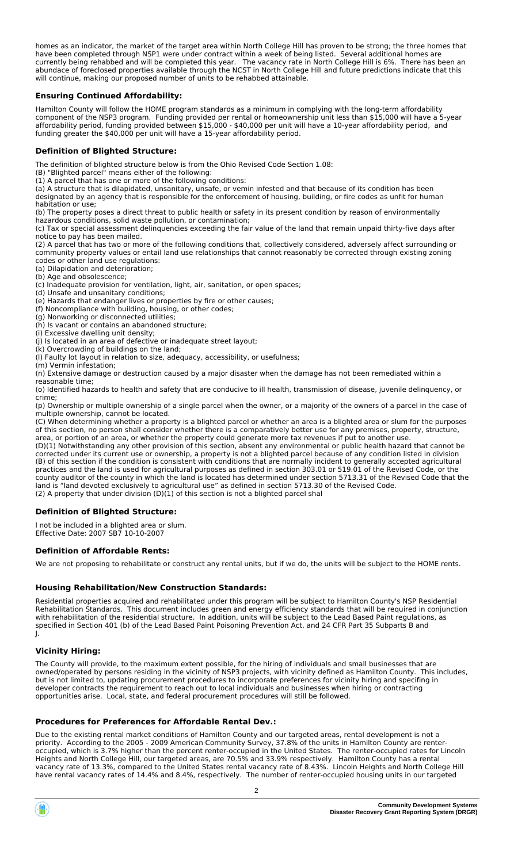homes as an indicator, the market of the target area within North College Hill has proven to be strong; the three homes that have been completed through NSP1 were under contract within a week of being listed. Several additional homes are currently being rehabbed and will be completed this year. The vacancy rate in North College Hill is 6%. There has been an abundace of foreclosed properties available through the NCST in North College Hill and future predictions indicate that this will continue, making our proposed number of units to be rehabbed attainable.

#### **Ensuring Continued Affordability:**

Hamilton County will follow the HOME program standards as a minimum in complying with the long-term affordability component of the NSP3 program. Funding provided per rental or homeownership unit less than \$15,000 will have a 5-year affordability period, funding provided between \$15,000 - \$40,000 per unit will have a 10-year affordability period, and funding greater the \$40,000 per unit will have a 15-year affordability period.

#### **Definition of Blighted Structure:**

The definition of blighted structure below is from the Ohio Revised Code Section 1.08:

(B) "Blighted parcel" means either of the following:

(1) A parcel that has one or more of the following conditions:

(a) A structure that is dilapidated, unsanitary, unsafe, or vemin infested and that because of its condition has been designated by an agency that is responsible for the enforcement of housing, building, or fire codes as unfit for human habitation or use;

(b) The property poses a direct threat to public health or safety in its present condition by reason of environmentally hazardous conditions, solid waste pollution, or contamination;

(c) Tax or special assessment delinquencies exceeding the fair value of the land that remain unpaid thirty-five days after notice to pay has been mailed.

(2) A parcel that has two or more of the following conditions that, collectively considered, adversely affect surrounding or community property values or entail land use relationships that cannot reasonably be corrected through existing zoning codes or other land use regulations:

(a) Dilapidation and deterioration;

(b) Age and obsolescence;

(c) Inadequate provision for ventilation, light, air, sanitation, or open spaces;

(d) Unsafe and unsanitary conditions;

(e) Hazards that endanger lives or properties by fire or other causes;

(f) Noncompliance with building, housing, or other codes;

(g) Nonworking or disconnected utilities; (h) Is vacant or contains an abandoned structure;

(i) Excessive dwelling unit density;

(j) Is located in an area of defective or inadequate street layout;

(k) Overcrowding of buildings on the land;

(l) Faulty lot layout in relation to size, adequacy, accessibility, or usefulness;

(m) Vermin infestation;

(n) Extensive damage or destruction caused by a major disaster when the damage has not been remediated within a reasonable time;

(o) Identified hazards to health and safety that are conducive to ill health, transmission of disease, juvenile delinquency, or crime;

(p) Ownership or multiple ownership of a single parcel when the owner, or a majority of the owners of a parcel in the case of multiple ownership, cannot be located.

(C) When determining whether a property is a blighted parcel or whether an area is a blighted area or slum for the purposes of this section, no person shall consider whether there is a comparatively better use for any premises, property, structure, area, or portion of an area, or whether the property could generate more tax revenues if put to another use.

(D)(1) Notwithstanding any other provision of this section, absent any environmental or public health hazard that cannot be corrected under its current use or ownership, a property is not a blighted parcel because of any condition listed in division (B) of this section if the condition is consistent with conditions that are normally incident to generally accepted agricultural practices and the land is used for agricultural purposes as defined in section 303.01 or 519.01 of the Revised Code, or the county auditor of the county in which the land is located has determined under section 5713.31 of the Revised Code that the land is "land devoted exclusively to agricultural use" as defined in section 5713.30 of the Revised Code. (2) A property that under division  $(D)(1)$  of this section is not a blighted parcel shal

#### **Definition of Blighted Structure:**

l not be included in a blighted area or slum. Effective Date: 2007 SB7 10-10-2007

#### **Definition of Affordable Rents:**

We are not proposing to rehabilitate or construct any rental units, but if we do, the units will be subject to the HOME rents.

#### **Housing Rehabilitation/New Construction Standards:**

Residential properties acquired and rehabilitated under this program will be subject to Hamilton County's NSP Residential Rehabilitation Standards. This document includes green and energy efficiency standards that will be required in conjunction with rehabilitation of the residential structure. In addition, units will be subject to the Lead Based Paint regulations, as specified in Section 401 (b) of the Lead Based Paint Poisoning Prevention Act, and 24 CFR Part 35 Subparts B and J.

#### **Vicinity Hiring:**

The County will provide, to the maximum extent possible, for the hiring of individuals and small businesses that are owned/operated by persons residing in the vicinity of NSP3 projects, with vicinity defined as Hamilton County. This includes, but is not limited to, updating procurement procedures to incorporate preferences for vicinity hiring and specifing in developer contracts the requirement to reach out to local individuals and businesses when hiring or contracting opportunities arise. Local, state, and federal procurement procedures will still be followed.

#### **Procedures for Preferences for Affordable Rental Dev.:**

Due to the existing rental market conditions of Hamilton County and our targeted areas, rental development is not a priority. According to the 2005 - 2009 American Community Survey, 37.8% of the units in Hamilton County are renteroccupied, which is 3.7% higher than the percent renter-occupied in the United States. The renter-occupied rates for Lincoln Heights and North College Hill, our targeted areas, are 70.5% and 33.9% respectively. Hamilton County has a rental vacancy rate of 13.3%, compared to the United States rental vacancy rate of 8.43%. Lincoln Heights and North College Hill have rental vacancy rates of 14.4% and 8.4%, respectively. The number of renter-occupied housing units in our targeted

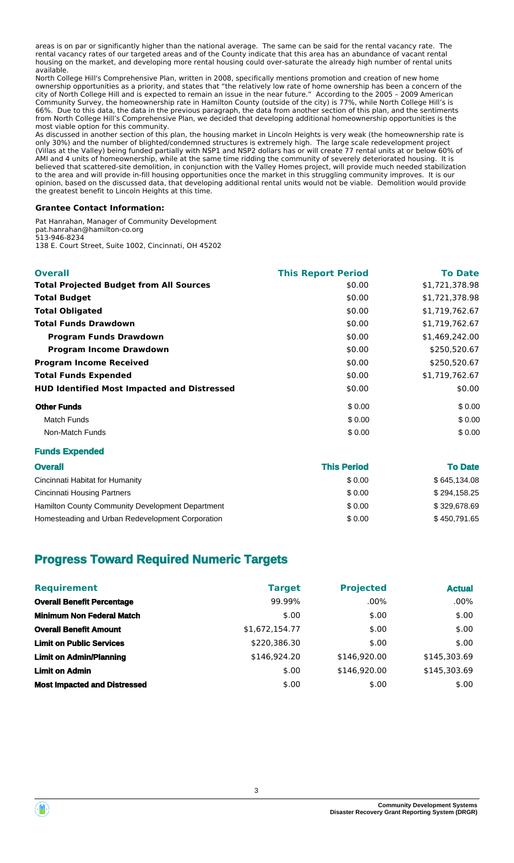areas is on par or significantly higher than the national average. The same can be said for the rental vacancy rate. The rental vacancy rates of our targeted areas and of the County indicate that this area has an abundance of vacant rental housing on the market, and developing more rental housing could over-saturate the already high number of rental units available.

North College Hill's Comprehensive Plan, written in 2008, specifically mentions promotion and creation of new home ownership opportunities as a priority, and states that "the relatively low rate of home ownership has been a concern of the city of North College Hill and is expected to remain an issue in the near future." According to the 2005 – 2009 American Community Survey, the homeownership rate in Hamilton County (outside of the city) is 77%, while North College Hill's is 66%. Due to this data, the data in the previous paragraph, the data from another section of this plan, and the sentiments from North College Hill's Comprehensive Plan, we decided that developing additional homeownership opportunities is the most viable option for this community.

As discussed in another section of this plan, the housing market in Lincoln Heights is very weak (the homeownership rate is only 30%) and the number of blighted/condemned structures is extremely high. The large scale redevelopment project (Villas at the Valley) being funded partially with NSP1 and NSP2 dollars has or will create 77 rental units at or below 60% of AMI and 4 units of homeownership, while at the same time ridding the community of severely deteriorated housing. It is believed that scattered-site demolition, in conjunction with the Valley Homes project, will provide much needed stabilization to the area and will provide in-fill housing opportunities once the market in this struggling community improves. It is our opinion, based on the discussed data, that developing additional rental units would not be viable. Demolition would provide the greatest benefit to Lincoln Heights at this time.

#### **Grantee Contact Information:**

Pat Hanrahan, Manager of Community Development pat.hanrahan@hamilton-co.org 513-946-8234 138 E. Court Street, Suite 1002, Cincinnati, OH 45202

| <b>Overall</b>                                     | <b>This Report Period</b> | <b>To Date</b> |
|----------------------------------------------------|---------------------------|----------------|
| <b>Total Projected Budget from All Sources</b>     | \$0.00                    | \$1,721,378.98 |
| <b>Total Budget</b>                                | \$0.00                    | \$1,721,378.98 |
| <b>Total Obligated</b>                             | \$0.00                    | \$1,719,762.67 |
| <b>Total Funds Drawdown</b>                        | \$0.00                    | \$1,719,762.67 |
| <b>Program Funds Drawdown</b>                      | \$0.00                    | \$1,469,242.00 |
| <b>Program Income Drawdown</b>                     | \$0.00                    | \$250,520.67   |
| <b>Program Income Received</b>                     | \$0.00                    | \$250,520.67   |
| <b>Total Funds Expended</b>                        | \$0.00                    | \$1,719,762.67 |
| <b>HUD Identified Most Impacted and Distressed</b> | \$0.00                    | \$0.00         |
| <b>Other Funds</b>                                 | \$0.00                    | \$0.00         |
| <b>Match Funds</b>                                 | \$0.00                    | \$0.00         |
| Non-Match Funds                                    | \$0.00                    | \$0.00         |

#### **Funds Expended**

| <b>Overall</b>                                   | <b>This Period</b> | <b>To Date</b> |
|--------------------------------------------------|--------------------|----------------|
| Cincinnati Habitat for Humanity                  | \$0.00             | \$645,134.08   |
| Cincinnati Housing Partners                      | \$0.00             | \$294,158.25   |
| Hamilton County Community Development Department | \$0.00             | \$329,678.69   |
| Homesteading and Urban Redevelopment Corporation | \$0.00             | \$450,791.65   |

### **Progress Toward Required Numeric Targets**

| <b>Requirement</b>                  | <b>Target</b>  | <b>Projected</b> | <b>Actual</b> |
|-------------------------------------|----------------|------------------|---------------|
| <b>Overall Benefit Percentage</b>   | 99.99%         | $.00\%$          | $.00\%$       |
| <b>Minimum Non Federal Match</b>    | \$.00          | \$.00            | \$.00         |
| <b>Overall Benefit Amount</b>       | \$1,672,154.77 | \$.00            | \$.00         |
| <b>Limit on Public Services</b>     | \$220,386.30   | \$.00            | \$.00         |
| <b>Limit on Admin/Planning</b>      | \$146.924.20   | \$146,920.00     | \$145,303.69  |
| <b>Limit on Admin</b>               | \$.00          | \$146,920.00     | \$145,303.69  |
| <b>Most Impacted and Distressed</b> | \$.00          | \$.00            | \$.00         |